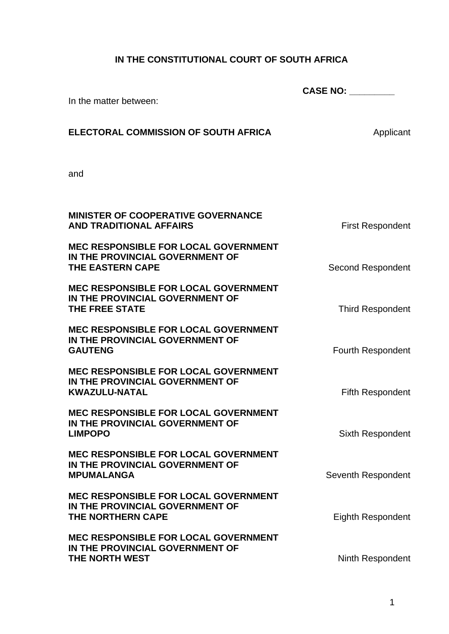## **IN THE CONSTITUTIONAL COURT OF SOUTH AFRICA**

|                                                                                                           | <b>CASE NO: ________</b> |  |
|-----------------------------------------------------------------------------------------------------------|--------------------------|--|
| In the matter between:                                                                                    |                          |  |
| <b>ELECTORAL COMMISSION OF SOUTH AFRICA</b>                                                               | Applicant                |  |
| and                                                                                                       |                          |  |
| <b>MINISTER OF COOPERATIVE GOVERNANCE</b><br><b>AND TRADITIONAL AFFAIRS</b>                               | <b>First Respondent</b>  |  |
| <b>MEC RESPONSIBLE FOR LOCAL GOVERNMENT</b><br>IN THE PROVINCIAL GOVERNMENT OF<br><b>THE EASTERN CAPE</b> | <b>Second Respondent</b> |  |
| <b>MEC RESPONSIBLE FOR LOCAL GOVERNMENT</b><br>IN THE PROVINCIAL GOVERNMENT OF<br><b>THE FREE STATE</b>   | <b>Third Respondent</b>  |  |
| <b>MEC RESPONSIBLE FOR LOCAL GOVERNMENT</b><br>IN THE PROVINCIAL GOVERNMENT OF<br><b>GAUTENG</b>          | Fourth Respondent        |  |
| <b>MEC RESPONSIBLE FOR LOCAL GOVERNMENT</b><br>IN THE PROVINCIAL GOVERNMENT OF<br><b>KWAZULU-NATAL</b>    | <b>Fifth Respondent</b>  |  |
| <b>MEC RESPONSIBLE FOR LOCAL GOVERNMENT</b><br>IN THE PROVINCIAL GOVERNMENT OF<br><b>LIMPOPO</b>          | Sixth Respondent         |  |
| <b>MEC RESPONSIBLE FOR LOCAL GOVERNMENT</b><br>IN THE PROVINCIAL GOVERNMENT OF<br><b>MPUMALANGA</b>       | Seventh Respondent       |  |
| <b>MEC RESPONSIBLE FOR LOCAL GOVERNMENT</b><br>IN THE PROVINCIAL GOVERNMENT OF<br>THE NORTHERN CAPE       | <b>Eighth Respondent</b> |  |
| <b>MEC RESPONSIBLE FOR LOCAL GOVERNMENT</b><br>IN THE PROVINCIAL GOVERNMENT OF<br>THE NORTH WEST          | Ninth Respondent         |  |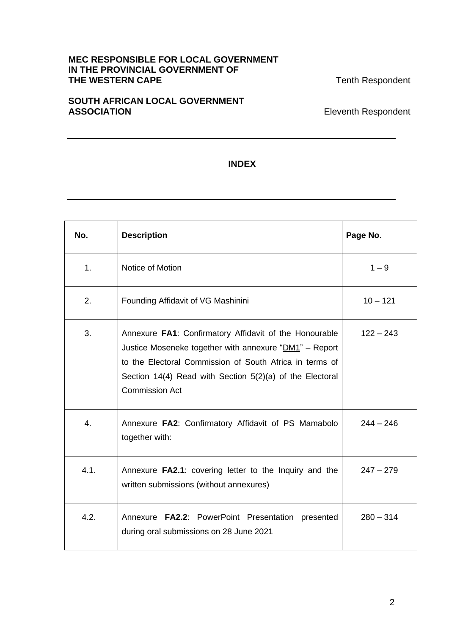## **MEC RESPONSIBLE FOR LOCAL GOVERNMENT IN THE PROVINCIAL GOVERNMENT OF THE WESTERN CAPE THE WESTERN CAPE**

## **SOUTH AFRICAN LOCAL GOVERNMENT**  ASSOCIATION **ASSOCIATION**

## **INDEX**

| No.            | <b>Description</b>                                                                                                                                                                                                                                               | Page No.    |
|----------------|------------------------------------------------------------------------------------------------------------------------------------------------------------------------------------------------------------------------------------------------------------------|-------------|
| 1 <sub>1</sub> | Notice of Motion                                                                                                                                                                                                                                                 | $1 - 9$     |
| 2.             | Founding Affidavit of VG Mashinini                                                                                                                                                                                                                               | $10 - 121$  |
| 3.             | Annexure FA1: Confirmatory Affidavit of the Honourable<br>Justice Moseneke together with annexure "DM1" - Report<br>to the Electoral Commission of South Africa in terms of<br>Section 14(4) Read with Section 5(2)(a) of the Electoral<br><b>Commission Act</b> | $122 - 243$ |
| 4.             | Annexure FA2: Confirmatory Affidavit of PS Mamabolo<br>together with:                                                                                                                                                                                            | $244 - 246$ |
| 4.1.           | Annexure FA2.1: covering letter to the Inquiry and the<br>written submissions (without annexures)                                                                                                                                                                | $247 - 279$ |
| 4.2.           | Annexure FA2.2: PowerPoint Presentation presented<br>during oral submissions on 28 June 2021                                                                                                                                                                     | $280 - 314$ |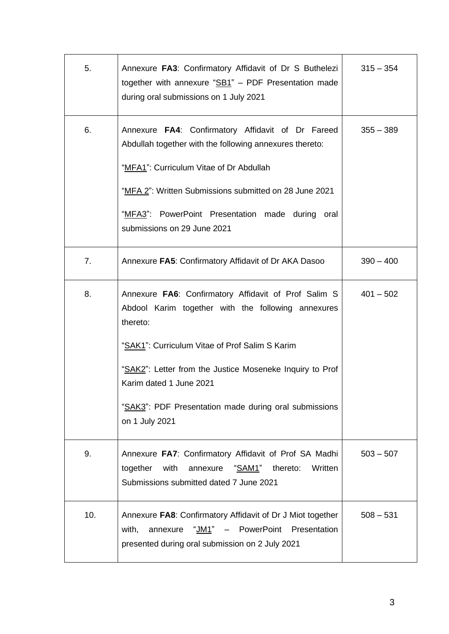| 5.  | Annexure FA3: Confirmatory Affidavit of Dr S Buthelezi  <br>together with annexure " $SB1$ " – PDF Presentation made<br>during oral submissions on 1 July 2021                                                                                                                                                                             | $315 - 354$ |
|-----|--------------------------------------------------------------------------------------------------------------------------------------------------------------------------------------------------------------------------------------------------------------------------------------------------------------------------------------------|-------------|
| 6.  | Annexure FA4: Confirmatory Affidavit of Dr Fareed<br>Abdullah together with the following annexures thereto:<br>"MFA1": Curriculum Vitae of Dr Abdullah<br>"MFA 2": Written Submissions submitted on 28 June 2021<br>"MFA3": PowerPoint Presentation made during oral<br>submissions on 29 June 2021                                       | $355 - 389$ |
| 7.  | Annexure FA5: Confirmatory Affidavit of Dr AKA Dasoo                                                                                                                                                                                                                                                                                       | $390 - 400$ |
| 8.  | Annexure FA6: Confirmatory Affidavit of Prof Salim S<br>Abdool Karim together with the following annexures<br>thereto:<br>"SAK1": Curriculum Vitae of Prof Salim S Karim<br>"SAK2": Letter from the Justice Moseneke Inquiry to Prof<br>Karim dated 1 June 2021<br>"SAK3": PDF Presentation made during oral submissions<br>on 1 July 2021 | $401 - 502$ |
| 9.  | Annexure FA7: Confirmatory Affidavit of Prof SA Madhi<br>together<br>with<br>annexure<br><u>"SAM1"</u><br>thereto:<br>Written<br>Submissions submitted dated 7 June 2021                                                                                                                                                                   | $503 - 507$ |
| 10. | Annexure FA8: Confirmatory Affidavit of Dr J Miot together<br>with,<br>annexure<br>"JM1" - PowerPoint Presentation<br>presented during oral submission on 2 July 2021                                                                                                                                                                      | $508 - 531$ |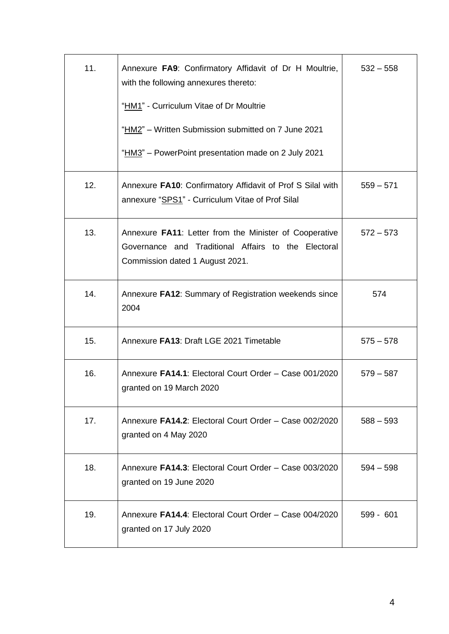| 11. | Annexure FA9: Confirmatory Affidavit of Dr H Moultrie,<br>with the following annexures thereto:                                                  | $532 - 558$ |
|-----|--------------------------------------------------------------------------------------------------------------------------------------------------|-------------|
|     | "HM1" - Curriculum Vitae of Dr Moultrie                                                                                                          |             |
|     | "HM2" - Written Submission submitted on 7 June 2021                                                                                              |             |
|     | "HM3" - PowerPoint presentation made on 2 July 2021                                                                                              |             |
| 12. | Annexure FA10: Confirmatory Affidavit of Prof S Silal with<br>annexure "SPS1" - Curriculum Vitae of Prof Silal                                   | $559 - 571$ |
| 13. | Annexure FA11: Letter from the Minister of Cooperative<br>Governance and Traditional Affairs to the Electoral<br>Commission dated 1 August 2021. | $572 - 573$ |
| 14. | Annexure FA12: Summary of Registration weekends since<br>2004                                                                                    | 574         |
| 15. | Annexure FA13: Draft LGE 2021 Timetable                                                                                                          | $575 - 578$ |
| 16. | Annexure FA14.1: Electoral Court Order - Case 001/2020<br>granted on 19 March 2020                                                               | $579 - 587$ |
| 17. | Annexure FA14.2: Electoral Court Order - Case 002/2020<br>granted on 4 May 2020                                                                  | $588 - 593$ |
| 18. | Annexure FA14.3: Electoral Court Order - Case 003/2020<br>granted on 19 June 2020                                                                | $594 - 598$ |
| 19. | Annexure FA14.4: Electoral Court Order - Case 004/2020<br>granted on 17 July 2020                                                                | $599 - 601$ |